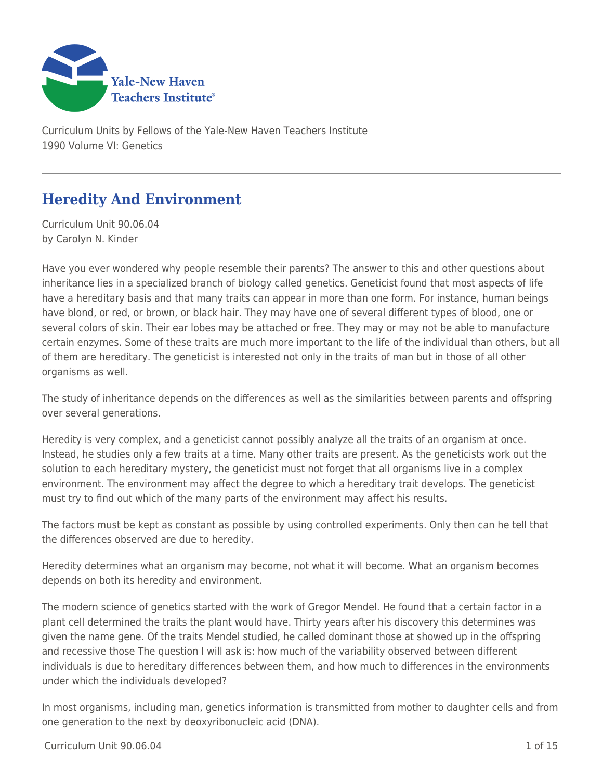

Curriculum Units by Fellows of the Yale-New Haven Teachers Institute 1990 Volume VI: Genetics

# **Heredity And Environment**

Curriculum Unit 90.06.04 by Carolyn N. Kinder

Have you ever wondered why people resemble their parents? The answer to this and other questions about inheritance lies in a specialized branch of biology called genetics. Geneticist found that most aspects of life have a hereditary basis and that many traits can appear in more than one form. For instance, human beings have blond, or red, or brown, or black hair. They may have one of several different types of blood, one or several colors of skin. Their ear lobes may be attached or free. They may or may not be able to manufacture certain enzymes. Some of these traits are much more important to the life of the individual than others, but all of them are hereditary. The geneticist is interested not only in the traits of man but in those of all other organisms as well.

The study of inheritance depends on the differences as well as the similarities between parents and offspring over several generations.

Heredity is very complex, and a geneticist cannot possibly analyze all the traits of an organism at once. Instead, he studies only a few traits at a time. Many other traits are present. As the geneticists work out the solution to each hereditary mystery, the geneticist must not forget that all organisms live in a complex environment. The environment may affect the degree to which a hereditary trait develops. The geneticist must try to find out which of the many parts of the environment may affect his results.

The factors must be kept as constant as possible by using controlled experiments. Only then can he tell that the differences observed are due to heredity.

Heredity determines what an organism may become, not what it will become. What an organism becomes depends on both its heredity and environment.

The modern science of genetics started with the work of Gregor Mendel. He found that a certain factor in a plant cell determined the traits the plant would have. Thirty years after his discovery this determines was given the name gene. Of the traits Mendel studied, he called dominant those at showed up in the offspring and recessive those The question I will ask is: how much of the variability observed between different individuals is due to hereditary differences between them, and how much to differences in the environments under which the individuals developed?

In most organisms, including man, genetics information is transmitted from mother to daughter cells and from one generation to the next by deoxyribonucleic acid (DNA).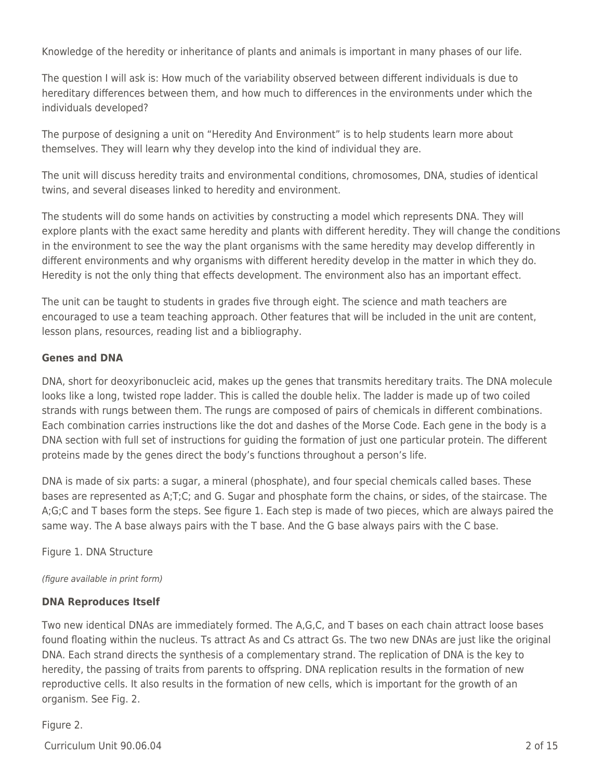Knowledge of the heredity or inheritance of plants and animals is important in many phases of our life.

The question I will ask is: How much of the variability observed between different individuals is due to hereditary differences between them, and how much to differences in the environments under which the individuals developed?

The purpose of designing a unit on "Heredity And Environment" is to help students learn more about themselves. They will learn why they develop into the kind of individual they are.

The unit will discuss heredity traits and environmental conditions, chromosomes, DNA, studies of identical twins, and several diseases linked to heredity and environment.

The students will do some hands on activities by constructing a model which represents DNA. They will explore plants with the exact same heredity and plants with different heredity. They will change the conditions in the environment to see the way the plant organisms with the same heredity may develop differently in different environments and why organisms with different heredity develop in the matter in which they do. Heredity is not the only thing that effects development. The environment also has an important effect.

The unit can be taught to students in grades five through eight. The science and math teachers are encouraged to use a team teaching approach. Other features that will be included in the unit are content, lesson plans, resources, reading list and a bibliography.

### **Genes and DNA**

DNA, short for deoxyribonucleic acid, makes up the genes that transmits hereditary traits. The DNA molecule looks like a long, twisted rope ladder. This is called the double helix. The ladder is made up of two coiled strands with rungs between them. The rungs are composed of pairs of chemicals in different combinations. Each combination carries instructions like the dot and dashes of the Morse Code. Each gene in the body is a DNA section with full set of instructions for guiding the formation of just one particular protein. The different proteins made by the genes direct the body's functions throughout a person's life.

DNA is made of six parts: a sugar, a mineral (phosphate), and four special chemicals called bases. These bases are represented as A;T;C; and G. Sugar and phosphate form the chains, or sides, of the staircase. The A;G;C and T bases form the steps. See figure 1. Each step is made of two pieces, which are always paired the same way. The A base always pairs with the T base. And the G base always pairs with the C base.

Figure 1. DNA Structure

(figure available in print form)

### **DNA Reproduces Itself**

Two new identical DNAs are immediately formed. The A,G,C, and T bases on each chain attract loose bases found floating within the nucleus. Ts attract As and Cs attract Gs. The two new DNAs are just like the original DNA. Each strand directs the synthesis of a complementary strand. The replication of DNA is the key to heredity, the passing of traits from parents to offspring. DNA replication results in the formation of new reproductive cells. It also results in the formation of new cells, which is important for the growth of an organism. See Fig. 2.

Figure 2.

Curriculum Unit 90.06.04 2 of 15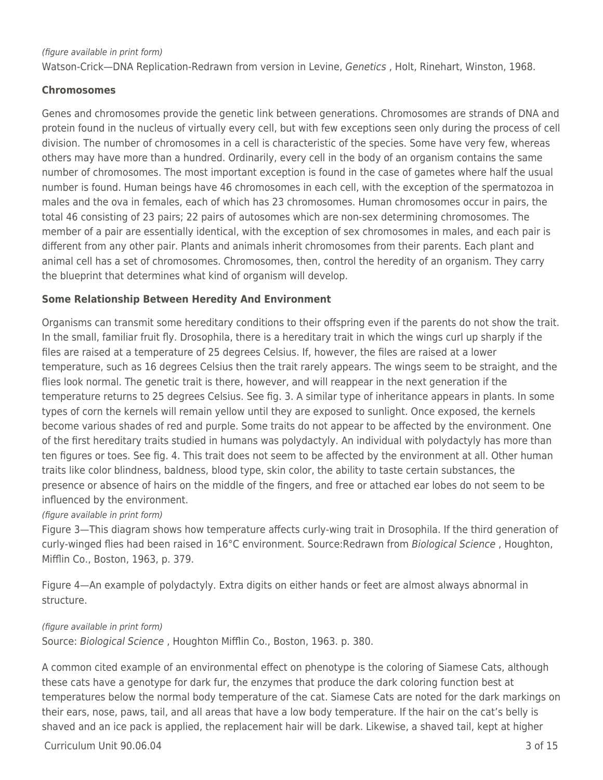#### (figure available in print form)

Watson-Crick--DNA Replication-Redrawn from version in Levine, Genetics, Holt, Rinehart, Winston, 1968.

#### **Chromosomes**

Genes and chromosomes provide the genetic link between generations. Chromosomes are strands of DNA and protein found in the nucleus of virtually every cell, but with few exceptions seen only during the process of cell division. The number of chromosomes in a cell is characteristic of the species. Some have very few, whereas others may have more than a hundred. Ordinarily, every cell in the body of an organism contains the same number of chromosomes. The most important exception is found in the case of gametes where half the usual number is found. Human beings have 46 chromosomes in each cell, with the exception of the spermatozoa in males and the ova in females, each of which has 23 chromosomes. Human chromosomes occur in pairs, the total 46 consisting of 23 pairs; 22 pairs of autosomes which are non-sex determining chromosomes. The member of a pair are essentially identical, with the exception of sex chromosomes in males, and each pair is different from any other pair. Plants and animals inherit chromosomes from their parents. Each plant and animal cell has a set of chromosomes. Chromosomes, then, control the heredity of an organism. They carry the blueprint that determines what kind of organism will develop.

#### **Some Relationship Between Heredity And Environment**

Organisms can transmit some hereditary conditions to their offspring even if the parents do not show the trait. In the small, familiar fruit fly. Drosophila, there is a hereditary trait in which the wings curl up sharply if the files are raised at a temperature of 25 degrees Celsius. If, however, the files are raised at a lower temperature, such as 16 degrees Celsius then the trait rarely appears. The wings seem to be straight, and the flies look normal. The genetic trait is there, however, and will reappear in the next generation if the temperature returns to 25 degrees Celsius. See fig. 3. A similar type of inheritance appears in plants. In some types of corn the kernels will remain yellow until they are exposed to sunlight. Once exposed, the kernels become various shades of red and purple. Some traits do not appear to be affected by the environment. One of the first hereditary traits studied in humans was polydactyly. An individual with polydactyly has more than ten figures or toes. See fig. 4. This trait does not seem to be affected by the environment at all. Other human traits like color blindness, baldness, blood type, skin color, the ability to taste certain substances, the presence or absence of hairs on the middle of the fingers, and free or attached ear lobes do not seem to be influenced by the environment.

#### (figure available in print form)

Figure 3—This diagram shows how temperature affects curly-wing trait in Drosophila. If the third generation of curly-winged flies had been raised in 16°C environment. Source:Redrawn from Biological Science , Houghton, Mifflin Co., Boston, 1963, p. 379.

Figure 4—An example of polydactyly. Extra digits on either hands or feet are almost always abnormal in structure.

#### (figure available in print form)

Source: Biological Science , Houghton Mifflin Co., Boston, 1963. p. 380.

A common cited example of an environmental effect on phenotype is the coloring of Siamese Cats, although these cats have a genotype for dark fur, the enzymes that produce the dark coloring function best at temperatures below the normal body temperature of the cat. Siamese Cats are noted for the dark markings on their ears, nose, paws, tail, and all areas that have a low body temperature. If the hair on the cat's belly is shaved and an ice pack is applied, the replacement hair will be dark. Likewise, a shaved tail, kept at higher

 $C$ urriculum Unit 90.06.04  $\overline{3}$  of 15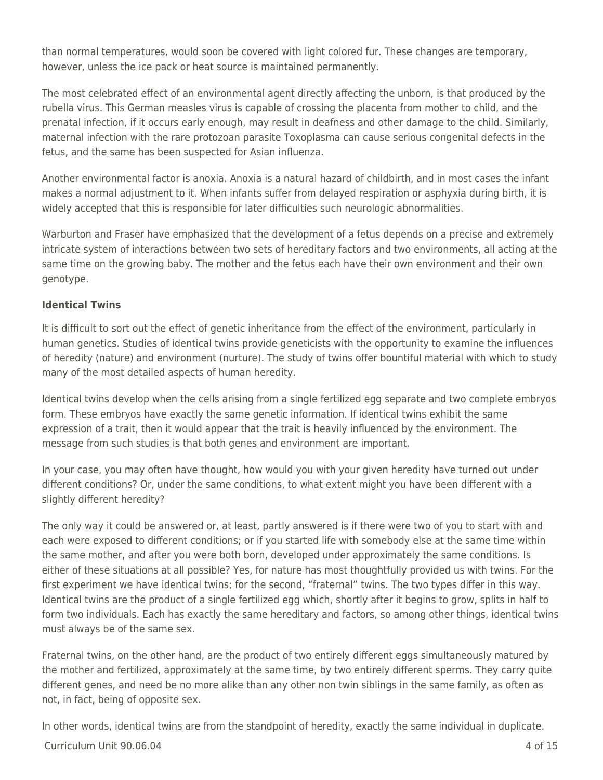than normal temperatures, would soon be covered with light colored fur. These changes are temporary, however, unless the ice pack or heat source is maintained permanently.

The most celebrated effect of an environmental agent directly affecting the unborn, is that produced by the rubella virus. This German measles virus is capable of crossing the placenta from mother to child, and the prenatal infection, if it occurs early enough, may result in deafness and other damage to the child. Similarly, maternal infection with the rare protozoan parasite Toxoplasma can cause serious congenital defects in the fetus, and the same has been suspected for Asian influenza.

Another environmental factor is anoxia. Anoxia is a natural hazard of childbirth, and in most cases the infant makes a normal adjustment to it. When infants suffer from delayed respiration or asphyxia during birth, it is widely accepted that this is responsible for later difficulties such neurologic abnormalities.

Warburton and Fraser have emphasized that the development of a fetus depends on a precise and extremely intricate system of interactions between two sets of hereditary factors and two environments, all acting at the same time on the growing baby. The mother and the fetus each have their own environment and their own genotype.

### **Identical Twins**

It is difficult to sort out the effect of genetic inheritance from the effect of the environment, particularly in human genetics. Studies of identical twins provide geneticists with the opportunity to examine the influences of heredity (nature) and environment (nurture). The study of twins offer bountiful material with which to study many of the most detailed aspects of human heredity.

Identical twins develop when the cells arising from a single fertilized egg separate and two complete embryos form. These embryos have exactly the same genetic information. If identical twins exhibit the same expression of a trait, then it would appear that the trait is heavily influenced by the environment. The message from such studies is that both genes and environment are important.

In your case, you may often have thought, how would you with your given heredity have turned out under different conditions? Or, under the same conditions, to what extent might you have been different with a slightly different heredity?

The only way it could be answered or, at least, partly answered is if there were two of you to start with and each were exposed to different conditions; or if you started life with somebody else at the same time within the same mother, and after you were both born, developed under approximately the same conditions. Is either of these situations at all possible? Yes, for nature has most thoughtfully provided us with twins. For the first experiment we have identical twins; for the second, "fraternal" twins. The two types differ in this way. Identical twins are the product of a single fertilized egg which, shortly after it begins to grow, splits in half to form two individuals. Each has exactly the same hereditary and factors, so among other things, identical twins must always be of the same sex.

Fraternal twins, on the other hand, are the product of two entirely different eggs simultaneously matured by the mother and fertilized, approximately at the same time, by two entirely different sperms. They carry quite different genes, and need be no more alike than any other non twin siblings in the same family, as often as not, in fact, being of opposite sex.

In other words, identical twins are from the standpoint of heredity, exactly the same individual in duplicate.

### $C$ urriculum Unit 90.06.04  $\qquad$  4 of 15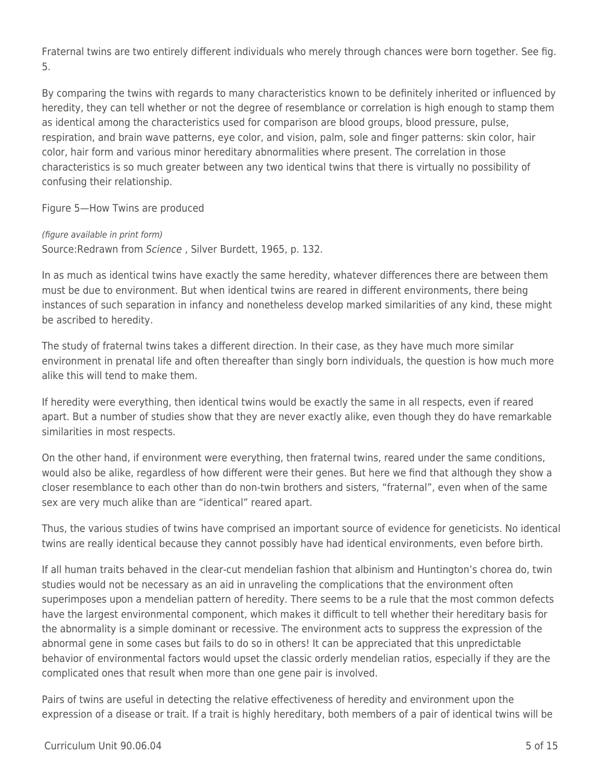Fraternal twins are two entirely different individuals who merely through chances were born together. See fig. 5.

By comparing the twins with regards to many characteristics known to be definitely inherited or influenced by heredity, they can tell whether or not the degree of resemblance or correlation is high enough to stamp them as identical among the characteristics used for comparison are blood groups, blood pressure, pulse, respiration, and brain wave patterns, eye color, and vision, palm, sole and finger patterns: skin color, hair color, hair form and various minor hereditary abnormalities where present. The correlation in those characteristics is so much greater between any two identical twins that there is virtually no possibility of confusing their relationship.

Figure 5—How Twins are produced

(figure available in print form)

Source:Redrawn from Science , Silver Burdett, 1965, p. 132.

In as much as identical twins have exactly the same heredity, whatever differences there are between them must be due to environment. But when identical twins are reared in different environments, there being instances of such separation in infancy and nonetheless develop marked similarities of any kind, these might be ascribed to heredity.

The study of fraternal twins takes a different direction. In their case, as they have much more similar environment in prenatal life and often thereafter than singly born individuals, the question is how much more alike this will tend to make them.

If heredity were everything, then identical twins would be exactly the same in all respects, even if reared apart. But a number of studies show that they are never exactly alike, even though they do have remarkable similarities in most respects.

On the other hand, if environment were everything, then fraternal twins, reared under the same conditions, would also be alike, regardless of how different were their genes. But here we find that although they show a closer resemblance to each other than do non-twin brothers and sisters, "fraternal", even when of the same sex are very much alike than are "identical" reared apart.

Thus, the various studies of twins have comprised an important source of evidence for geneticists. No identical twins are really identical because they cannot possibly have had identical environments, even before birth.

If all human traits behaved in the clear-cut mendelian fashion that albinism and Huntington's chorea do, twin studies would not be necessary as an aid in unraveling the complications that the environment often superimposes upon a mendelian pattern of heredity. There seems to be a rule that the most common defects have the largest environmental component, which makes it difficult to tell whether their hereditary basis for the abnormality is a simple dominant or recessive. The environment acts to suppress the expression of the abnormal gene in some cases but fails to do so in others! It can be appreciated that this unpredictable behavior of environmental factors would upset the classic orderly mendelian ratios, especially if they are the complicated ones that result when more than one gene pair is involved.

Pairs of twins are useful in detecting the relative effectiveness of heredity and environment upon the expression of a disease or trait. If a trait is highly hereditary, both members of a pair of identical twins will be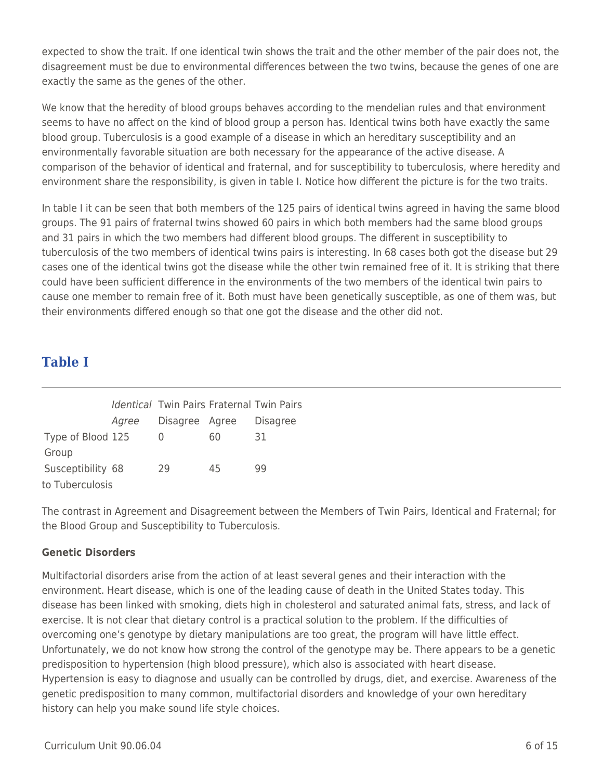expected to show the trait. If one identical twin shows the trait and the other member of the pair does not, the disagreement must be due to environmental differences between the two twins, because the genes of one are exactly the same as the genes of the other.

We know that the heredity of blood groups behaves according to the mendelian rules and that environment seems to have no affect on the kind of blood group a person has. Identical twins both have exactly the same blood group. Tuberculosis is a good example of a disease in which an hereditary susceptibility and an environmentally favorable situation are both necessary for the appearance of the active disease. A comparison of the behavior of identical and fraternal, and for susceptibility to tuberculosis, where heredity and environment share the responsibility, is given in table I. Notice how different the picture is for the two traits.

In table I it can be seen that both members of the 125 pairs of identical twins agreed in having the same blood groups. The 91 pairs of fraternal twins showed 60 pairs in which both members had the same blood groups and 31 pairs in which the two members had different blood groups. The different in susceptibility to tuberculosis of the two members of identical twins pairs is interesting. In 68 cases both got the disease but 29 cases one of the identical twins got the disease while the other twin remained free of it. It is striking that there could have been sufficient difference in the environments of the two members of the identical twin pairs to cause one member to remain free of it. Both must have been genetically susceptible, as one of them was, but their environments differed enough so that one got the disease and the other did not.

# **Table I**

|                   |       | <b>Identical Twin Pairs Fraternal Twin Pairs</b> |    |                 |
|-------------------|-------|--------------------------------------------------|----|-----------------|
|                   | Agree | Disagree Agree                                   |    | <b>Disagree</b> |
| Type of Blood 125 |       | $\Omega$                                         | 60 | 31              |
| Group             |       |                                                  |    |                 |
| Susceptibility 68 |       | 29                                               | 45 | 99              |
| to Tuberculosis   |       |                                                  |    |                 |

The contrast in Agreement and Disagreement between the Members of Twin Pairs, Identical and Fraternal; for the Blood Group and Susceptibility to Tuberculosis.

### **Genetic Disorders**

Multifactorial disorders arise from the action of at least several genes and their interaction with the environment. Heart disease, which is one of the leading cause of death in the United States today. This disease has been linked with smoking, diets high in cholesterol and saturated animal fats, stress, and lack of exercise. It is not clear that dietary control is a practical solution to the problem. If the difficulties of overcoming one's genotype by dietary manipulations are too great, the program will have little effect. Unfortunately, we do not know how strong the control of the genotype may be. There appears to be a genetic predisposition to hypertension (high blood pressure), which also is associated with heart disease. Hypertension is easy to diagnose and usually can be controlled by drugs, diet, and exercise. Awareness of the genetic predisposition to many common, multifactorial disorders and knowledge of your own hereditary history can help you make sound life style choices.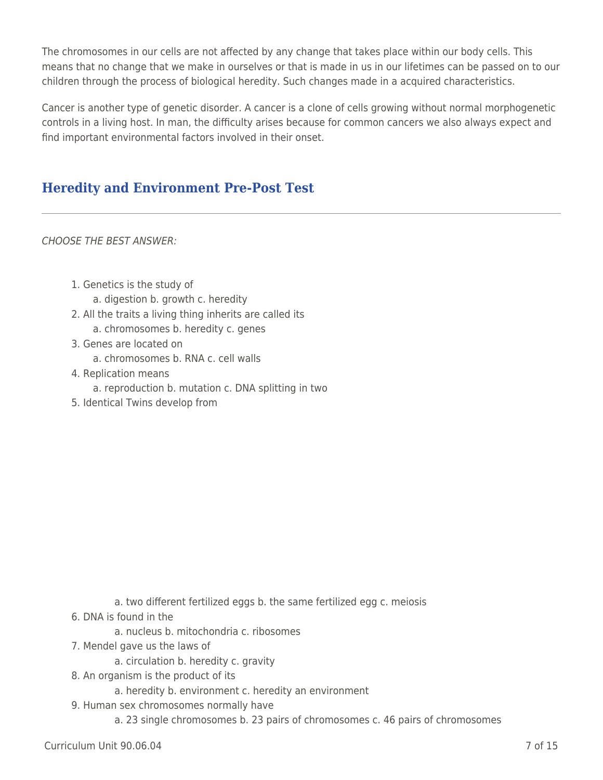The chromosomes in our cells are not affected by any change that takes place within our body cells. This means that no change that we make in ourselves or that is made in us in our lifetimes can be passed on to our children through the process of biological heredity. Such changes made in a acquired characteristics.

Cancer is another type of genetic disorder. A cancer is a clone of cells growing without normal morphogenetic controls in a living host. In man, the difficulty arises because for common cancers we also always expect and find important environmental factors involved in their onset.

# **Heredity and Environment Pre-Post Test**

CHOOSE THE BEST ANSWER:

- 1. Genetics is the study of a. digestion b. growth c. heredity
- 2. All the traits a living thing inherits are called its
	- a. chromosomes b. heredity c. genes
- 3. Genes are located on
	- a. chromosomes b. RNA c. cell walls
- 4. Replication means
	- a. reproduction b. mutation c. DNA splitting in two
- 5. Identical Twins develop from

- a. two different fertilized eggs b. the same fertilized egg c. meiosis
- 6. DNA is found in the
	- a. nucleus b. mitochondria c. ribosomes
- 7. Mendel gave us the laws of
	- a. circulation b. heredity c. gravity
- 8. An organism is the product of its
	- a. heredity b. environment c. heredity an environment
- 9. Human sex chromosomes normally have
	- a. 23 single chromosomes b. 23 pairs of chromosomes c. 46 pairs of chromosomes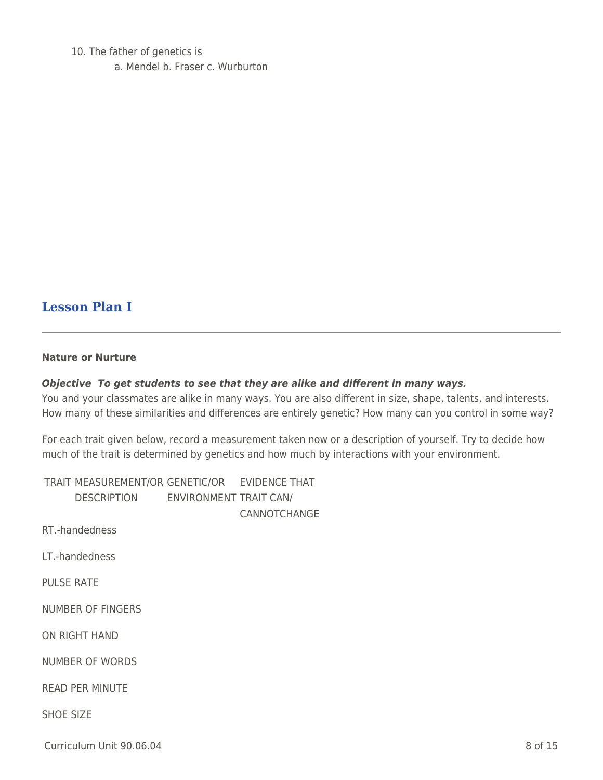10. The father of genetics is a. Mendel b. Fraser c. Wurburton

## **Lesson Plan I**

#### **Nature or Nurture**

#### *Objective To get students to see that they are alike and different in many ways.*

You and your classmates are alike in many ways. You are also different in size, shape, talents, and interests. How many of these similarities and differences are entirely genetic? How many can you control in some way?

For each trait given below, record a measurement taken now or a description of yourself. Try to decide how much of the trait is determined by genetics and how much by interactions with your environment.

TRAIT MEASUREMENT/OR GENETIC/OR EVIDENCE THAT DESCRIPTION ENVIRONMENT TRAIT CAN/ CANNOTCHANGE RT.-handedness LT.-handedness PULSE RATE NUMBER OF FINGERS ON RIGHT HAND NUMBER OF WORDS READ PER MINUTE SHOE SIZE

Curriculum Unit 90.06.04 8 of 15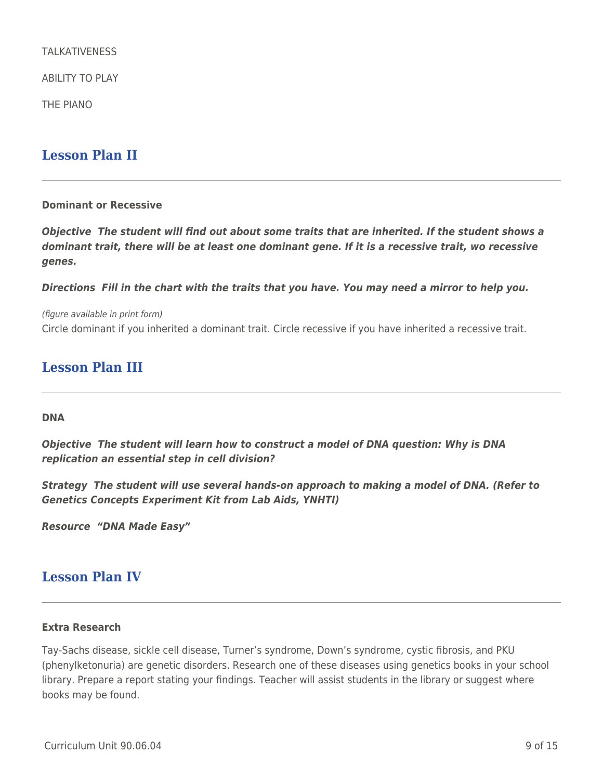TAI KATIVENESS

ABILITY TO PLAY

THE PIANO

### **Lesson Plan II**

#### **Dominant or Recessive**

*Objective The student will find out about some traits that are inherited. If the student shows a dominant trait, there will be at least one dominant gene. If it is a recessive trait, wo recessive genes.*

*Directions Fill in the chart with the traits that you have. You may need a mirror to help you.*

(figure available in print form) Circle dominant if you inherited a dominant trait. Circle recessive if you have inherited a recessive trait.

## **Lesson Plan III**

#### **DNA**

*Objective The student will learn how to construct a model of DNA question: Why is DNA replication an essential step in cell division?*

*Strategy The student will use several hands-on approach to making a model of DNA. (Refer to Genetics Concepts Experiment Kit from Lab Aids, YNHTI)*

*Resource "DNA Made Easy"*

### **Lesson Plan IV**

#### **Extra Research**

Tay-Sachs disease, sickle cell disease, Turner's syndrome, Down's syndrome, cystic fibrosis, and PKU (phenylketonuria) are genetic disorders. Research one of these diseases using genetics books in your school library. Prepare a report stating your findings. Teacher will assist students in the library or suggest where books may be found.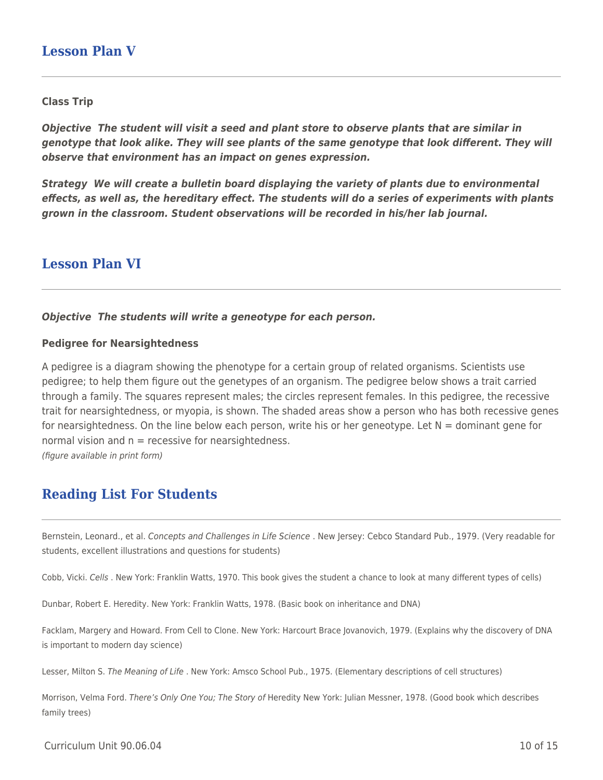### **Lesson Plan V**

#### **Class Trip**

*Objective The student will visit a seed and plant store to observe plants that are similar in genotype that look alike. They will see plants of the same genotype that look different. They will observe that environment has an impact on genes expression.*

*Strategy We will create a bulletin board displaying the variety of plants due to environmental effects, as well as, the hereditary effect. The students will do a series of experiments with plants grown in the classroom. Student observations will be recorded in his/her lab journal.*

### **Lesson Plan VI**

#### *Objective The students will write a geneotype for each person.*

#### **Pedigree for Nearsightedness**

A pedigree is a diagram showing the phenotype for a certain group of related organisms. Scientists use pedigree; to help them figure out the genetypes of an organism. The pedigree below shows a trait carried through a family. The squares represent males; the circles represent females. In this pedigree, the recessive trait for nearsightedness, or myopia, is shown. The shaded areas show a person who has both recessive genes for nearsightedness. On the line below each person, write his or her geneotype. Let  $N =$  dominant gene for normal vision and  $n =$  recessive for nearsightedness.

(figure available in print form)

## **Reading List For Students**

Bernstein, Leonard., et al. Concepts and Challenges in Life Science . New Jersey: Cebco Standard Pub., 1979. (Very readable for students, excellent illustrations and questions for students)

Cobb, Vicki. Cells . New York: Franklin Watts, 1970. This book gives the student a chance to look at many different types of cells)

Dunbar, Robert E. Heredity. New York: Franklin Watts, 1978. (Basic book on inheritance and DNA)

Facklam, Margery and Howard. From Cell to Clone. New York: Harcourt Brace Jovanovich, 1979. (Explains why the discovery of DNA is important to modern day science)

Lesser, Milton S. The Meaning of Life . New York: Amsco School Pub., 1975. (Elementary descriptions of cell structures)

Morrison, Velma Ford. There's Only One You; The Story of Heredity New York: Julian Messner, 1978. (Good book which describes family trees)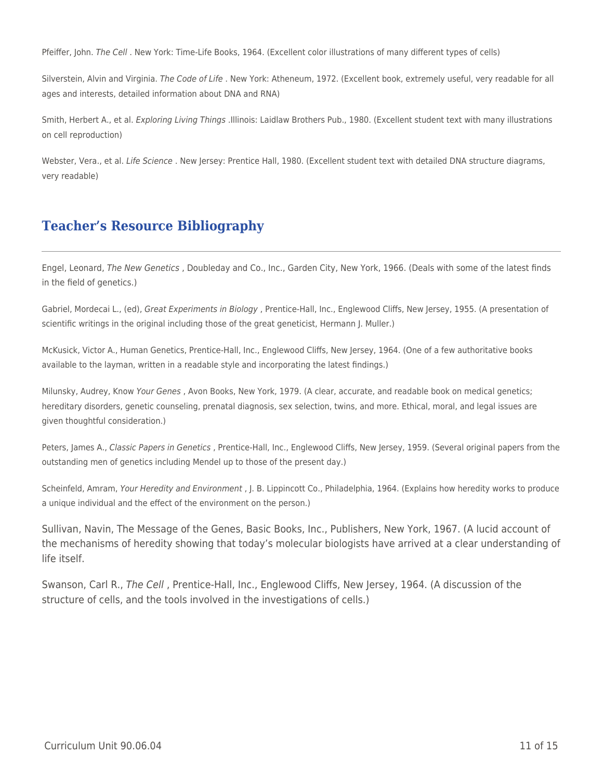Pfeiffer, John. The Cell . New York: Time-Life Books, 1964. (Excellent color illustrations of many different types of cells)

Silverstein, Alvin and Virginia. The Code of Life . New York: Atheneum, 1972. (Excellent book, extremely useful, very readable for all ages and interests, detailed information about DNA and RNA)

Smith, Herbert A., et al. Exploring Living Things .Illinois: Laidlaw Brothers Pub., 1980. (Excellent student text with many illustrations on cell reproduction)

Webster, Vera., et al. Life Science . New Jersey: Prentice Hall, 1980. (Excellent student text with detailed DNA structure diagrams, very readable)

## **Teacher's Resource Bibliography**

Engel, Leonard, The New Genetics , Doubleday and Co., Inc., Garden City, New York, 1966. (Deals with some of the latest finds in the field of genetics.)

Gabriel, Mordecai L., (ed), Great Experiments in Biology , Prentice-Hall, Inc., Englewood Cliffs, New Jersey, 1955. (A presentation of scientific writings in the original including those of the great geneticist, Hermann J. Muller.)

McKusick, Victor A., Human Genetics, Prentice-Hall, Inc., Englewood Cliffs, New Jersey, 1964. (One of a few authoritative books available to the layman, written in a readable style and incorporating the latest findings.)

Milunsky, Audrey, Know Your Genes , Avon Books, New York, 1979. (A clear, accurate, and readable book on medical genetics; hereditary disorders, genetic counseling, prenatal diagnosis, sex selection, twins, and more. Ethical, moral, and legal issues are given thoughtful consideration.)

Peters, James A., Classic Papers in Genetics, Prentice-Hall, Inc., Englewood Cliffs, New Jersey, 1959. (Several original papers from the outstanding men of genetics including Mendel up to those of the present day.)

Scheinfeld, Amram, Your Heredity and Environment , J. B. Lippincott Co., Philadelphia, 1964. (Explains how heredity works to produce a unique individual and the effect of the environment on the person.)

Sullivan, Navin, The Message of the Genes, Basic Books, Inc., Publishers, New York, 1967. (A lucid account of the mechanisms of heredity showing that today's molecular biologists have arrived at a clear understanding of life itself.

Swanson, Carl R., The Cell , Prentice-Hall, Inc., Englewood Cliffs, New Jersey, 1964. (A discussion of the structure of cells, and the tools involved in the investigations of cells.)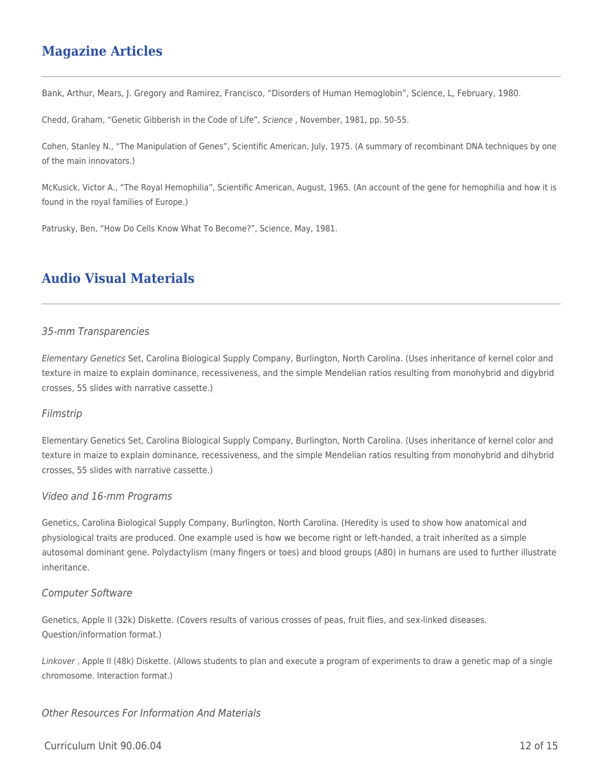## **Magazine Articles**

Bank, Arthur, Mears, J. Gregory and Ramirez, Francisco, "Disorders of Human Hemoglobin", Science, L, February, 1980.

Chedd, Graham, "Genetic Gibberish in the Code of Life", Science , November, 1981, pp. 50-55.

Cohen, Stanley N., "The Manipulation of Genes", Scientific American, July, 1975. (A summary of recombinant DNA techniques by one of the main innovators.)

McKusick, Victor A., "The Royal Hemophilia", Scientific American, August, 1965. (An account of the gene for hemophilia and how it is found in the royal families of Europe.)

Patrusky, Ben, "How Do Cells Know What To Become?", Science, May, 1981.

## **Audio Visual Materials**

#### 35-mm Transparencies

Elementary Genetics Set, Carolina Biological Supply Company, Burlington, North Carolina. (Uses inheritance of kernel color and texture in maize to explain dominance, recessiveness, and the simple Mendelian ratios resulting from monohybrid and digybrid crosses, 55 slides with narrative cassette.)

#### Filmstrip

Elementary Genetics Set, Carolina Biological Supply Company, Burlington, North Carolina. (Uses inheritance of kernel color and texture in maize to explain dominance, recessiveness, and the simple Mendelian ratios resulting from monohybrid and dihybrid crosses, 55 slides with narrative cassette.)

#### Video and 16-mm Programs

Genetics, Carolina Biological Supply Company, Burlington, North Carolina. (Heredity is used to show how anatomical and physiological traits are produced. One example used is how we become right or left-handed, a trait inherited as a simple autosomal dominant gene. Polydactylism (many fingers or toes) and blood groups (A80) in humans are used to further illustrate inheritance.

#### Computer Software

Genetics, Apple II (32k) Diskette. (Covers results of various crosses of peas, fruit flies, and sex-linked diseases. Question/information format.)

Linkover , Apple II (48k) Diskette. (Allows students to plan and execute a program of experiments to draw a genetic map of a single chromosome. Interaction format.)

#### Other Resources For Information And Materials

#### $C$ urriculum Unit 90.06.04 12 of 15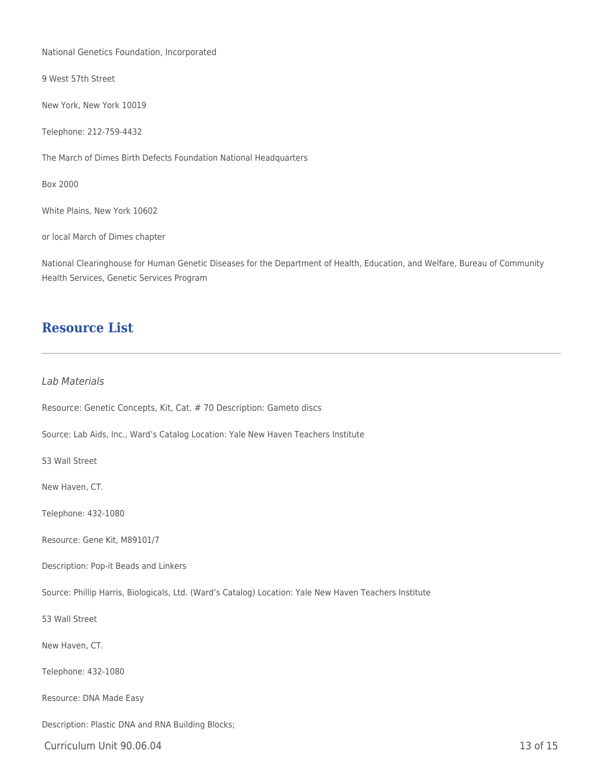National Genetics Foundation, Incorporated

9 West 57th Street

New York, New York 10019

Telephone: 212-759-4432

The March of Dimes Birth Defects Foundation National Headquarters

Box 2000

White Plains, New York 10602

or local March of Dimes chapter

National Clearinghouse for Human Genetic Diseases for the Department of Health, Education, and Welfare, Bureau of Community Health Services, Genetic Services Program

### **Resource List**

#### Lab Materials

Resource: Genetic Concepts, Kit, Cat. # 70 Description: Gameto discs

Source: Lab Aids, Inc., Ward's Catalog Location: Yale New Haven Teachers Institute

53 Wall Street

New Haven, CT.

Telephone: 432-1080

Resource: Gene Kit, M89101/7

Description: Pop-it Beads and Linkers

Source: Phillip Harris, Biologicals, Ltd. (Ward's Catalog) Location: Yale New Haven Teachers Institute

53 Wall Street

New Haven, CT.

Telephone: 432-1080

Resource: DNA Made Easy

Description: Plastic DNA and RNA Building Blocks;

Curriculum Unit 90.06.04 13 of 15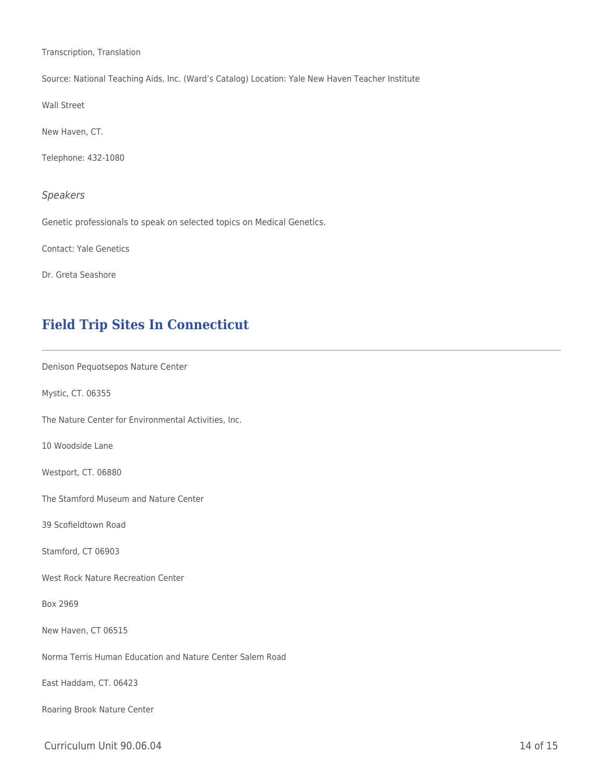Transcription, Translation

Source: National Teaching Aids, Inc. (Ward's Catalog) Location: Yale New Haven Teacher Institute

Wall Street

New Haven, CT.

Telephone: 432-1080

#### Speakers

Genetic professionals to speak on selected topics on Medical Genetics.

Contact: Yale Genetics

Dr. Greta Seashore

## **Field Trip Sites In Connecticut**

Denison Pequotsepos Nature Center

Mystic, CT. 06355

The Nature Center for Environmental Activities, Inc.

10 Woodside Lane

Westport, CT. 06880

The Stamford Museum and Nature Center

39 Scofieldtown Road

Stamford, CT 06903

West Rock Nature Recreation Center

Box 2969

New Haven, CT 06515

Norma Terris Human Education and Nature Center Salem Road

East Haddam, CT. 06423

Roaring Brook Nature Center

Curriculum Unit 90.06.04 15